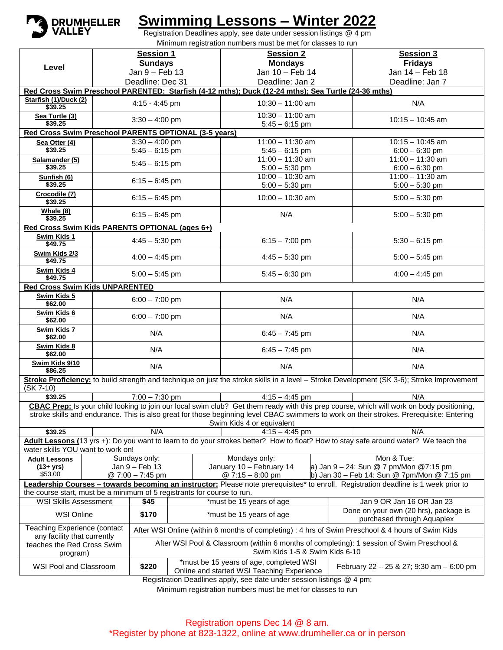

## **Swimming Lessons – Winter 2022**

Registration Deadlines apply, see date under session listings @ 4 pm Minimum registration numbers must be met for classes to run

|                                                                                                                                                                       |                                                                                                                                     | <b>Session 1</b>                                                                                                            |  | <b>Session 2</b>                                                                                    |  | <b>Session 3</b>                                                                                                                           |  |  |  |  |  |  |
|-----------------------------------------------------------------------------------------------------------------------------------------------------------------------|-------------------------------------------------------------------------------------------------------------------------------------|-----------------------------------------------------------------------------------------------------------------------------|--|-----------------------------------------------------------------------------------------------------|--|--------------------------------------------------------------------------------------------------------------------------------------------|--|--|--|--|--|--|
| Level                                                                                                                                                                 |                                                                                                                                     | <b>Sundays</b>                                                                                                              |  | <b>Mondays</b>                                                                                      |  | <b>Fridays</b>                                                                                                                             |  |  |  |  |  |  |
|                                                                                                                                                                       |                                                                                                                                     | Jan 9 - Feb 13                                                                                                              |  | Jan 10 - Feb 14                                                                                     |  | Jan 14 - Feb 18                                                                                                                            |  |  |  |  |  |  |
|                                                                                                                                                                       |                                                                                                                                     | Deadline: Dec 31                                                                                                            |  | Deadline: Jan 2                                                                                     |  | Deadline: Jan 7                                                                                                                            |  |  |  |  |  |  |
|                                                                                                                                                                       |                                                                                                                                     |                                                                                                                             |  | Red Cross Swim Preschool PARENTED: Starfish (4-12 mths); Duck (12-24 mths); Sea Turtle (24-36 mths) |  |                                                                                                                                            |  |  |  |  |  |  |
| Starfish (1)/Duck (2)<br>\$39.25                                                                                                                                      |                                                                                                                                     | $4:15 - 4:45$ pm                                                                                                            |  | $10:30 - 11:00$ am                                                                                  |  | N/A                                                                                                                                        |  |  |  |  |  |  |
| Sea Turtle (3)<br>\$39.25                                                                                                                                             |                                                                                                                                     | $3:30 - 4:00$ pm                                                                                                            |  | $10:30 - 11:00$ am<br>$5:45 - 6:15$ pm                                                              |  | $10:15 - 10:45$ am                                                                                                                         |  |  |  |  |  |  |
| Red Cross Swim Preschool PARENTS OPTIONAL (3-5 years)                                                                                                                 |                                                                                                                                     |                                                                                                                             |  |                                                                                                     |  |                                                                                                                                            |  |  |  |  |  |  |
| Sea Otter (4)                                                                                                                                                         |                                                                                                                                     | $3:30 - 4:00$ pm                                                                                                            |  | $11:00 - 11:30$ am                                                                                  |  | $10:15 - 10:45$ am                                                                                                                         |  |  |  |  |  |  |
| \$39.25                                                                                                                                                               |                                                                                                                                     | $5:45 - 6:15$ pm                                                                                                            |  | $5:45 - 6:15$ pm                                                                                    |  | $6:00 - 6:30$ pm                                                                                                                           |  |  |  |  |  |  |
| Salamander (5)                                                                                                                                                        |                                                                                                                                     | $5:45 - 6:15$ pm                                                                                                            |  | $11:00 - 11:30$ am                                                                                  |  | $11:00 - 11:30$ am                                                                                                                         |  |  |  |  |  |  |
| \$39.25                                                                                                                                                               |                                                                                                                                     |                                                                                                                             |  | $5:00 - 5:30$ pm                                                                                    |  | $6:00 - 6:30$ pm                                                                                                                           |  |  |  |  |  |  |
| Sunfish (6)<br>\$39.25                                                                                                                                                |                                                                                                                                     | $6:15 - 6:45$ pm                                                                                                            |  | $10:00 - 10:30$ am<br>$5:00 - 5:30$ pm                                                              |  | $11:00 - 11:30$ am<br>$5:00 - 5:30$ pm                                                                                                     |  |  |  |  |  |  |
| Crocodile (7)<br>\$39.25                                                                                                                                              |                                                                                                                                     | $6:15 - 6:45$ pm                                                                                                            |  | $10:00 - 10:30$ am                                                                                  |  | $5:00 - 5:30$ pm                                                                                                                           |  |  |  |  |  |  |
| Whale (8)<br>\$39.25                                                                                                                                                  |                                                                                                                                     | $6:15 - 6:45$ pm                                                                                                            |  | N/A                                                                                                 |  | $5:00 - 5:30$ pm                                                                                                                           |  |  |  |  |  |  |
| Red Cross Swim Kids PARENTS OPTIONAL (ages 6+)                                                                                                                        |                                                                                                                                     |                                                                                                                             |  |                                                                                                     |  |                                                                                                                                            |  |  |  |  |  |  |
| Swim Kids 1<br>\$49.75                                                                                                                                                |                                                                                                                                     | $4:45 - 5:30$ pm                                                                                                            |  | $6:15 - 7:00$ pm                                                                                    |  | $5:30 - 6:15$ pm                                                                                                                           |  |  |  |  |  |  |
| Swim Kids 2/3<br>\$49.75                                                                                                                                              |                                                                                                                                     | $4:00 - 4:45$ pm                                                                                                            |  | $4:45 - 5:30$ pm                                                                                    |  | $5:00 - 5:45$ pm                                                                                                                           |  |  |  |  |  |  |
| <b>Swim Kids 4</b><br>\$49.75                                                                                                                                         |                                                                                                                                     | $5:00 - 5:45$ pm                                                                                                            |  | $5:45 - 6:30$ pm                                                                                    |  | $4:00 - 4:45$ pm                                                                                                                           |  |  |  |  |  |  |
| <b>Red Cross Swim Kids UNPARENTED</b>                                                                                                                                 |                                                                                                                                     |                                                                                                                             |  |                                                                                                     |  |                                                                                                                                            |  |  |  |  |  |  |
| Swim Kids 5<br>\$62.00                                                                                                                                                |                                                                                                                                     | $6:00 - 7:00$ pm                                                                                                            |  | N/A                                                                                                 |  | N/A                                                                                                                                        |  |  |  |  |  |  |
| Swim Kids 6<br>\$62.00                                                                                                                                                |                                                                                                                                     | $6:00 - 7:00$ pm                                                                                                            |  | N/A                                                                                                 |  | N/A                                                                                                                                        |  |  |  |  |  |  |
| Swim Kids 7<br>\$62.00                                                                                                                                                |                                                                                                                                     | N/A                                                                                                                         |  | $6:45 - 7:45$ pm                                                                                    |  | N/A                                                                                                                                        |  |  |  |  |  |  |
| Swim Kids 8<br>\$62.00                                                                                                                                                |                                                                                                                                     | N/A                                                                                                                         |  | $6:45 - 7:45$ pm                                                                                    |  | N/A                                                                                                                                        |  |  |  |  |  |  |
| Swim Kids 9/10<br>\$86.25                                                                                                                                             |                                                                                                                                     | N/A                                                                                                                         |  | N/A                                                                                                 |  | N/A                                                                                                                                        |  |  |  |  |  |  |
| (SK 7-10)                                                                                                                                                             |                                                                                                                                     |                                                                                                                             |  |                                                                                                     |  | Stroke Proficiency: to build strength and technique on just the stroke skills in a level - Stroke Development (SK 3-6); Stroke Improvement |  |  |  |  |  |  |
| \$39.25                                                                                                                                                               |                                                                                                                                     | $7:00 - 7:30$ pm                                                                                                            |  | $4:15 - 4:45$ pm                                                                                    |  | N/A                                                                                                                                        |  |  |  |  |  |  |
|                                                                                                                                                                       |                                                                                                                                     |                                                                                                                             |  |                                                                                                     |  | CBAC Prep: Is your child looking to join our local swim club? Get them ready with this prep course, which will work on body positioning,   |  |  |  |  |  |  |
| stroke skills and endurance. This is also great for those beginning level CBAC swimmers to work on their strokes. Prerequisite: Entering<br>Swim Kids 4 or equivalent |                                                                                                                                     |                                                                                                                             |  |                                                                                                     |  |                                                                                                                                            |  |  |  |  |  |  |
| \$39.25                                                                                                                                                               |                                                                                                                                     | N/A                                                                                                                         |  | $4:15 - 4:45$ pm                                                                                    |  | N/A                                                                                                                                        |  |  |  |  |  |  |
|                                                                                                                                                                       | Adult Lessons (13 yrs +): Do you want to learn to do your strokes better? How to float? How to stay safe around water? We teach the |                                                                                                                             |  |                                                                                                     |  |                                                                                                                                            |  |  |  |  |  |  |
| water skills YOU want to work on!                                                                                                                                     |                                                                                                                                     |                                                                                                                             |  |                                                                                                     |  |                                                                                                                                            |  |  |  |  |  |  |
| <b>Adult Lessons</b>                                                                                                                                                  |                                                                                                                                     | Sundays only:                                                                                                               |  | Mondays only:                                                                                       |  | Mon & Tue:                                                                                                                                 |  |  |  |  |  |  |
| $(13 + yrs)$                                                                                                                                                          |                                                                                                                                     | Jan 9 - Feb 13                                                                                                              |  | January 10 - February 14                                                                            |  | a) Jan 9 - 24: Sun @ 7 pm/Mon @7:15 pm                                                                                                     |  |  |  |  |  |  |
| \$53.00                                                                                                                                                               |                                                                                                                                     | @ 7:00 - 7:45 pm                                                                                                            |  | @ 7:15 - 8:00 pm                                                                                    |  | b) Jan 30 - Feb 14: Sun @ 7pm/Mon @ 7:15 pm                                                                                                |  |  |  |  |  |  |
|                                                                                                                                                                       |                                                                                                                                     |                                                                                                                             |  |                                                                                                     |  | Leadership Courses - towards becoming an instructor: Please note prerequisites* to enroll. Registration deadline is 1 week prior to        |  |  |  |  |  |  |
| the course start, must be a minimum of 5 registrants for course to run.<br><b>WSI Skills Assessment</b>                                                               |                                                                                                                                     | \$45                                                                                                                        |  | *must be 15 years of age                                                                            |  | Jan 9 OR Jan 16 OR Jan 23                                                                                                                  |  |  |  |  |  |  |
| <b>WSI Online</b>                                                                                                                                                     |                                                                                                                                     | \$170                                                                                                                       |  | *must be 15 years of age                                                                            |  | Done on your own (20 hrs), package is<br>purchased through Aquaplex                                                                        |  |  |  |  |  |  |
| <b>Teaching Experience (contact</b>                                                                                                                                   |                                                                                                                                     | After WSI Online (within 6 months of completing) : 4 hrs of Swim Preschool & 4 hours of Swim Kids                           |  |                                                                                                     |  |                                                                                                                                            |  |  |  |  |  |  |
| any facility that currently<br>teaches the Red Cross Swim<br>program)                                                                                                 |                                                                                                                                     | After WSI Pool & Classroom (within 6 months of completing): 1 session of Swim Preschool &<br>Swim Kids 1-5 & Swim Kids 6-10 |  |                                                                                                     |  |                                                                                                                                            |  |  |  |  |  |  |
| *must be 15 years of age, completed WSI<br>WSI Pool and Classroom<br>\$220                                                                                            |                                                                                                                                     |                                                                                                                             |  |                                                                                                     |  |                                                                                                                                            |  |  |  |  |  |  |
|                                                                                                                                                                       |                                                                                                                                     |                                                                                                                             |  | Online and started WSI Teaching Experience                                                          |  | February 22 - 25 & 27; 9:30 am - 6:00 pm                                                                                                   |  |  |  |  |  |  |
|                                                                                                                                                                       |                                                                                                                                     |                                                                                                                             |  | Registration Deadlines apply, see date under session listings @ 4 pm;                               |  |                                                                                                                                            |  |  |  |  |  |  |

Minimum registration numbers must be met for classes to run